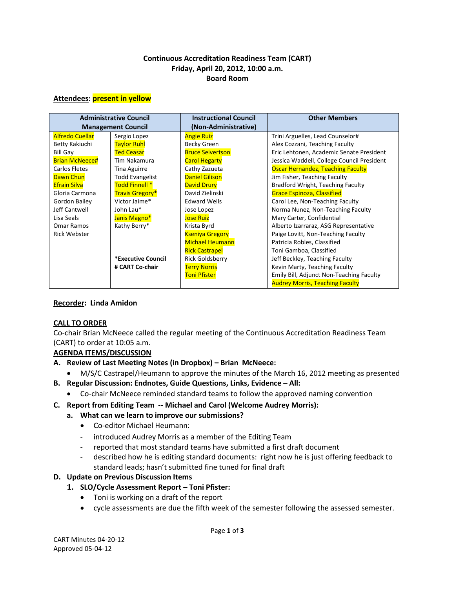#### **Continuous Accreditation Readiness Team (CART) Friday, April 20, 2012, 10:00 a.m. Board Room**

#### **Attendees: present in yellow**

| <b>Administrative Council</b><br><b>Management Council</b> |                           | <b>Instructional Council</b><br>(Non-Administrative) | <b>Other Members</b>                       |
|------------------------------------------------------------|---------------------------|------------------------------------------------------|--------------------------------------------|
| <b>Alfredo Cuellar</b>                                     | Sergio Lopez              | <b>Angie Ruiz</b>                                    | Trini Arguelles, Lead Counselor#           |
| Betty Kakiuchi                                             | <b>Taylor Ruhl</b>        | Becky Green                                          | Alex Cozzani, Teaching Faculty             |
|                                                            |                           |                                                      |                                            |
| <b>Bill Gay</b>                                            | <b>Ted Ceasar</b>         | <b>Bruce Seivertson</b>                              | Eric Lehtonen, Academic Senate President   |
| <b>Brian McNeece#</b>                                      | Tim Nakamura              | <b>Carol Hegarty</b>                                 | Jessica Waddell, College Council President |
| Carlos Fletes                                              | <b>Tina Aguirre</b>       | Cathy Zazueta                                        | <b>Oscar Hernandez, Teaching Faculty</b>   |
| Dawn Chun                                                  | <b>Todd Evangelist</b>    | <b>Daniel Gilison</b>                                | Jim Fisher, Teaching Faculty               |
| <b>Efrain Silva</b>                                        | Todd Finnell <sup>*</sup> | <b>David Drury</b>                                   | Bradford Wright, Teaching Faculty          |
| Gloria Carmona                                             | Travis Gregory*           | David Zielinski                                      | <b>Grace Espinoza, Classified</b>          |
| Gordon Bailey                                              | Victor Jaime*             | <b>Edward Wells</b>                                  | Carol Lee, Non-Teaching Faculty            |
| Jeff Cantwell                                              | John Lau*                 | Jose Lopez                                           | Norma Nunez, Non-Teaching Faculty          |
| Lisa Seals                                                 | Janis Magno*              | <b>Jose Ruiz</b>                                     | Mary Carter, Confidential                  |
| Omar Ramos                                                 | Kathy Berry*              | Krista Byrd                                          | Alberto Izarraraz, ASG Representative      |
| <b>Rick Webster</b>                                        |                           | <b>Kseniya Gregory</b>                               | Paige Lovitt, Non-Teaching Faculty         |
|                                                            |                           | <b>Michael Heumann</b>                               | Patricia Robles, Classified                |
|                                                            |                           | <b>Rick Castrapel</b>                                | Toni Gamboa, Classified                    |
|                                                            | *Executive Council        | <b>Rick Goldsberry</b>                               | Jeff Beckley, Teaching Faculty             |
|                                                            | # CART Co-chair           | <b>Terry Norris</b>                                  | Kevin Marty, Teaching Faculty              |
|                                                            |                           | <b>Toni Pfister</b>                                  | Emily Bill, Adjunct Non-Teaching Faculty   |
|                                                            |                           |                                                      | <b>Audrey Morris, Teaching Faculty</b>     |

#### **Recorder: Linda Amidon**

#### **CALL TO ORDER**

Co-chair Brian McNeece called the regular meeting of the Continuous Accreditation Readiness Team (CART) to order at 10:05 a.m.

#### **AGENDA ITEMS/DISCUSSION**

- **A. Review of Last Meeting Notes (in Dropbox) – Brian McNeece:**
	- M/S/C Castrapel/Heumann to approve the minutes of the March 16, 2012 meeting as presented
- **B. Regular Discussion: Endnotes, Guide Questions, Links, Evidence – All:**
	- Co-chair McNeece reminded standard teams to follow the approved naming convention
- **C. Report from Editing Team -- Michael and Carol (Welcome Audrey Morris):**
	- **a. What can we learn to improve our submissions?**
		- Co-editor Michael Heumann:
		- introduced Audrey Morris as a member of the Editing Team
		- reported that most standard teams have submitted a first draft document
		- described how he is editing standard documents: right now he is just offering feedback to standard leads; hasn't submitted fine tuned for final draft
- **D. Update on Previous Discussion Items**
	- **1. SLO/Cycle Assessment Report – Toni Pfister:**
		- Toni is working on a draft of the report
		- cycle assessments are due the fifth week of the semester following the assessed semester.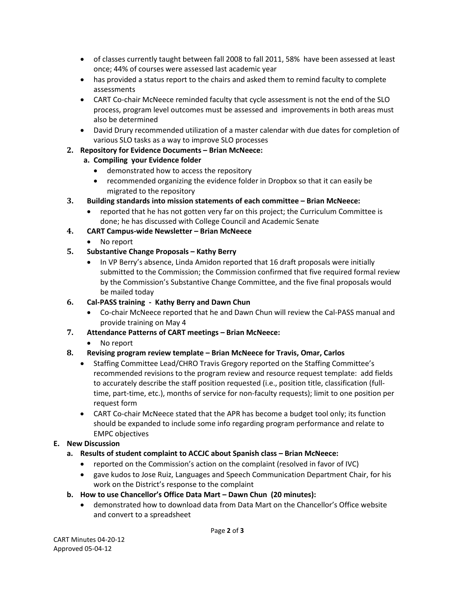- of classes currently taught between fall 2008 to fall 2011, 58% have been assessed at least once; 44% of courses were assessed last academic year
- has provided a status report to the chairs and asked them to remind faculty to complete assessments
- CART Co-chair McNeece reminded faculty that cycle assessment is not the end of the SLO process, program level outcomes must be assessed and improvements in both areas must also be determined
- David Drury recommended utilization of a master calendar with due dates for completion of various SLO tasks as a way to improve SLO processes

#### **2. Repository for Evidence Documents – Brian McNeece:**

#### **a. Compiling your Evidence folder**

- demonstrated how to access the repository
- recommended organizing the evidence folder in Dropbox so that it can easily be migrated to the repository

#### **3. Building standards into mission statements of each committee – Brian McNeece:**

• reported that he has not gotten very far on this project; the Curriculum Committee is done; he has discussed with College Council and Academic Senate

#### **4. CART Campus-wide Newsletter – Brian McNeece**

• No report

#### **5. Substantive Change Proposals – Kathy Berry**

• In VP Berry's absence, Linda Amidon reported that 16 draft proposals were initially submitted to the Commission; the Commission confirmed that five required formal review by the Commission's Substantive Change Committee, and the five final proposals would be mailed today

# **6. Cal-PASS training - Kathy Berry and Dawn Chun**

• Co-chair McNeece reported that he and Dawn Chun will review the Cal-PASS manual and provide training on May 4

# **7. Attendance Patterns of CART meetings – Brian McNeece:**

# • No report

# **8. Revising program review template – Brian McNeece for Travis, Omar, Carlos**

- Staffing Committee Lead/CHRO Travis Gregory reported on the Staffing Committee's recommended revisions to the program review and resource request template: add fields to accurately describe the staff position requested (i.e., position title, classification (fulltime, part-time, etc.), months of service for non-faculty requests); limit to one position per request form
- CART Co-chair McNeece stated that the APR has become a budget tool only; its function should be expanded to include some info regarding program performance and relate to EMPC objectives

# **E. New Discussion**

# **a. Results of student complaint to ACCJC about Spanish class – Brian McNeece:**

- reported on the Commission's action on the complaint (resolved in favor of IVC)
- gave kudos to Jose Ruiz, Languages and Speech Communication Department Chair, for his work on the District's response to the complaint

# **b. How to use Chancellor's Office Data Mart – Dawn Chun (20 minutes):**

• demonstrated how to download data from Data Mart on the Chancellor's Office website and convert to a spreadsheet